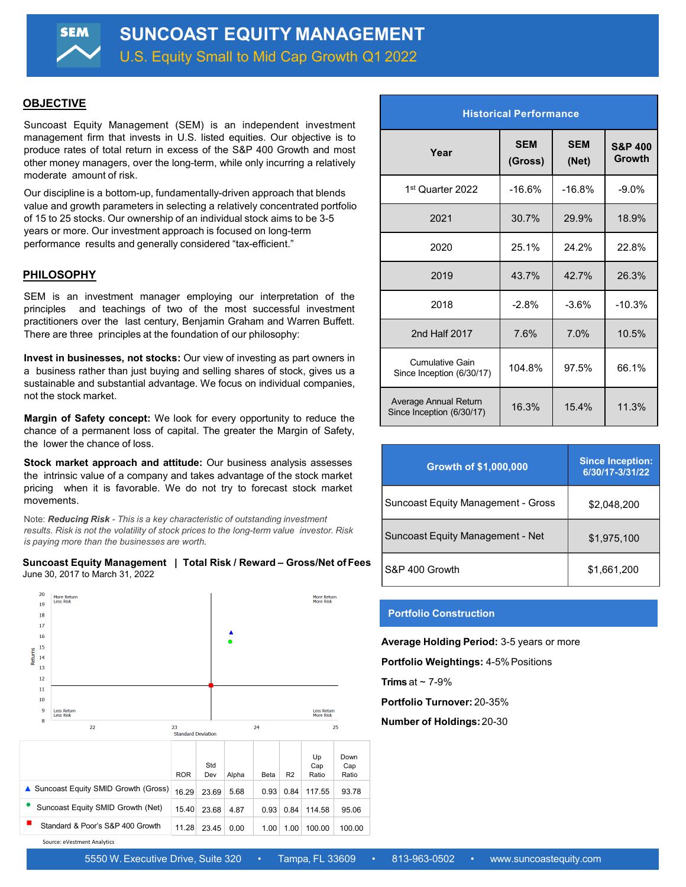U.S. Equity Small to Mid Cap Growth Q1 2022

## **OBJECTIVE**

**SEM** 

Suncoast Equity Management (SEM) is an independent investment management firm that invests in U.S. listed equities. Our objective is to produce rates of total return in excess of the S&P 400 Growth and most other money managers, over the long-term, while only incurring a relatively moderate amount of risk.

Our discipline is a bottom-up, fundamentally-driven approach that blends value and growth parameters in selecting a relatively concentrated portfolio of 15 to 25 stocks. Our ownership of an individual stock aims to be 3-5 years or more. Our investment approach is focused on long-term performance results and generally considered "tax-efficient."

## **PHILOSOPHY**

SEM is an investment manager employing our interpretation of the principles and teachings of two of the most successful investment practitioners over the last century, Benjamin Graham and Warren Buffett. There are three principles at the foundation of our philosophy:

**Invest in businesses, not stocks:** Our view of investing as part owners in a business rather than just buying and selling shares of stock, gives us a sustainable and substantial advantage. We focus on individual companies, not the stock market.

**Margin of Safety concept:** We look for every opportunity to reduce the chance of a permanent loss of capital. The greater the Margin of Safety, the lower the chance of loss.

**Stock market approach and attitude:** Our business analysis assesses the intrinsic value of a company and takes advantage of the stock market pricing when it is favorable. We do not try to forecast stock market movements.

Note: *Reducing Risk - This is a key characteristic of outstanding investment results. Risk is not the volatility of stock prices to the long-term value investor. Risk is paying more than the businesses are worth.*

| June 30, 2017 to March 31, 2022_ |  |
|----------------------------------|--|



| <b>Historical Performance</b>                       |                       |                     |                              |  |
|-----------------------------------------------------|-----------------------|---------------------|------------------------------|--|
| Year                                                | <b>SEM</b><br>(Gross) | <b>SEM</b><br>(Net) | <b>S&amp;P 400</b><br>Growth |  |
| 1 <sup>st</sup> Quarter 2022                        | $-16.6%$              | $-16.8%$            | $-9.0\%$                     |  |
| 2021                                                | 30.7%                 | 29.9%               | 18.9%                        |  |
| 2020                                                | 25.1%                 | 24.2%               | 22.8%                        |  |
| 2019                                                | 43.7%                 | 42.7%               | 26.3%                        |  |
| 2018                                                | $-2.8%$               | $-3.6%$             | $-10.3%$                     |  |
| 2nd Half 2017                                       | 7.6%                  | 7.0%                | 10.5%                        |  |
| <b>Cumulative Gain</b><br>Since Inception (6/30/17) | 104.8%                | 97.5%               | 66.1%                        |  |
| Average Annual Return<br>Since Inception (6/30/17)  | 16.3%                 | 15.4%               | 11.3%                        |  |

| Growth of \$1,000,000                     | <b>Since Inception:</b><br>6/30/17-3/31/22 |
|-------------------------------------------|--------------------------------------------|
| <b>Suncoast Equity Management - Gross</b> | \$2.048.200                                |
| Suncoast Equity Management - Net          | \$1,975,100                                |
| S&P 400 Growth                            | \$1.661.200                                |

## **Portfolio Construction**

**Average Holding Period:** 3-5 years or more

**Portfolio Weightings: 4-5% Positions** 

**Trims at**  $\sim 7-9\%$ 

**Portfolio Turnover:** 20-35%

**Number of Holdings:**20-30